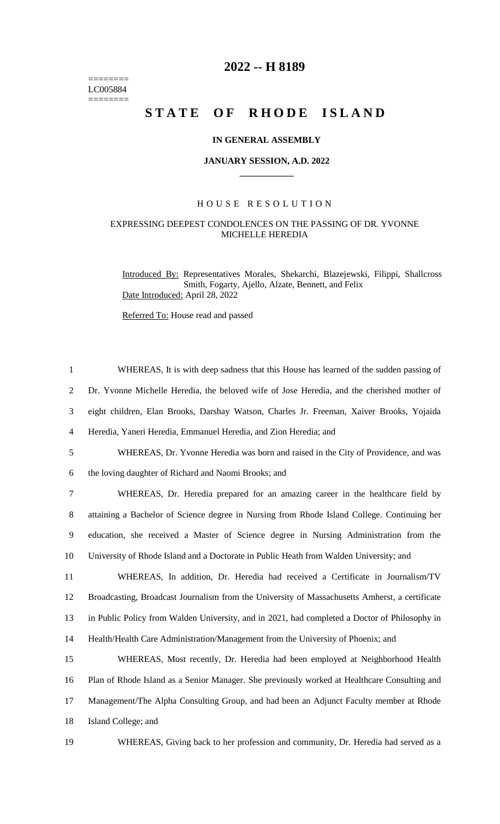======== LC005884  $=$ 

## **2022 -- H 8189**

# **STATE OF RHODE ISLAND**

#### **IN GENERAL ASSEMBLY**

#### **JANUARY SESSION, A.D. 2022 \_\_\_\_\_\_\_\_\_\_\_\_**

#### H O U S E R E S O L U T I O N

### EXPRESSING DEEPEST CONDOLENCES ON THE PASSING OF DR. YVONNE MICHELLE HEREDIA

Introduced By: Representatives Morales, Shekarchi, Blazejewski, Filippi, Shallcross Smith, Fogarty, Ajello, Alzate, Bennett, and Felix Date Introduced: April 28, 2022

Referred To: House read and passed

| $\mathbf{1}$   | WHEREAS, It is with deep sadness that this House has learned of the sudden passing of          |
|----------------|------------------------------------------------------------------------------------------------|
| $\overline{2}$ | Dr. Yvonne Michelle Heredia, the beloved wife of Jose Heredia, and the cherished mother of     |
| 3              | eight children, Elan Brooks, Darshay Watson, Charles Jr. Freeman, Xaiver Brooks, Yojaida       |
| $\overline{4}$ | Heredia, Yaneri Heredia, Emmanuel Heredia, and Zion Heredia; and                               |
| $\mathfrak{S}$ | WHEREAS, Dr. Yvonne Heredia was born and raised in the City of Providence, and was             |
| 6              | the loving daughter of Richard and Naomi Brooks; and                                           |
| $\overline{7}$ | WHEREAS, Dr. Heredia prepared for an amazing career in the healthcare field by                 |
| 8              | attaining a Bachelor of Science degree in Nursing from Rhode Island College. Continuing her    |
| 9              | education, she received a Master of Science degree in Nursing Administration from the          |
| 10             | University of Rhode Island and a Doctorate in Public Heath from Walden University; and         |
| 11             | WHEREAS, In addition, Dr. Heredia had received a Certificate in Journalism/TV                  |
| 12             | Broadcasting, Broadcast Journalism from the University of Massachusetts Amherst, a certificate |
| 13             | in Public Policy from Walden University, and in 2021, had completed a Doctor of Philosophy in  |
| 14             | Health/Health Care Administration/Management from the University of Phoenix; and               |
| 15             | WHEREAS, Most recently, Dr. Heredia had been employed at Neighborhood Health                   |
| 16             | Plan of Rhode Island as a Senior Manager. She previously worked at Healthcare Consulting and   |
| 17             | Management/The Alpha Consulting Group, and had been an Adjunct Faculty member at Rhode         |
| 18             | Island College; and                                                                            |
| 19             | WHEREAS, Giving back to her profession and community, Dr. Heredia had served as a              |